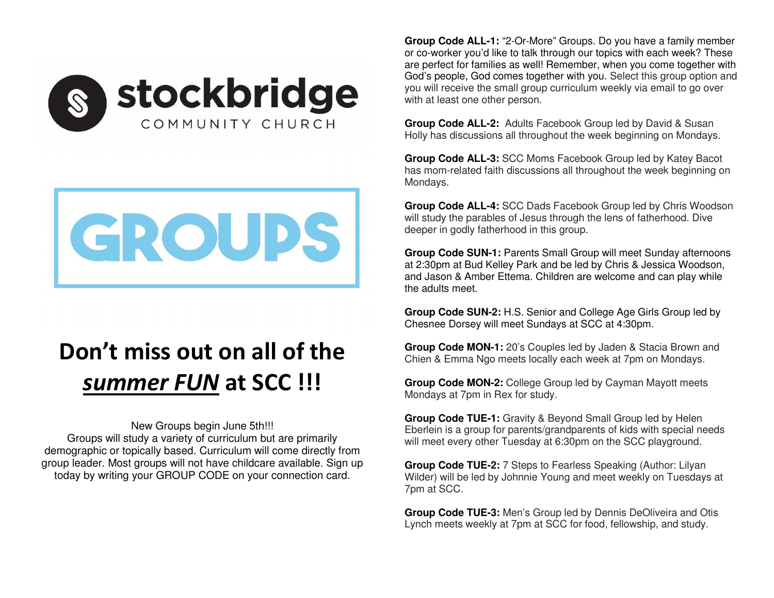



## **Don't miss out on all of the** *summer FUN* **at SCC !!!**

New Groups begin June 5th!!! Groups will study a variety of curriculum but are primarily demographic or topically based. Curriculum will come directly from group leader. Most groups will not have childcare available. Sign up today by writing your GROUP CODE on your connection card.

**Group Code ALL-1:** "2-Or-More" Groups. Do you have a family member or co-worker you'd like to talk through our topics with each week? These are perfect for families as well! Remember, when you come together with God's people, God comes together with you. Select this group option and you will receive the small group curriculum weekly via email to go over with at least one other person.

**Group Code ALL-2:** Adults Facebook Group led by David & Susan Holly has discussions all throughout the week beginning on Mondays.

**Group Code ALL-3:** SCC Moms Facebook Group led by Katey Bacot has mom-related faith discussions all throughout the week beginning on Mondays.

**Group Code ALL-4:** SCC Dads Facebook Group led by Chris Woodson will study the parables of Jesus through the lens of fatherhood. Dive deeper in godly fatherhood in this group.

**Group Code SUN-1:** Parents Small Group will meet Sunday afternoons at 2:30pm at Bud Kelley Park and be led by Chris & Jessica Woodson, and Jason & Amber Ettema. Children are welcome and can play while the adults meet.

**Group Code SUN-2:** H.S. Senior and College Age Girls Group led by Chesnee Dorsey will meet Sundays at SCC at 4:30pm.

**Group Code MON-1:** 20's Couples led by Jaden & Stacia Brown and Chien & Emma Ngo meets locally each week at 7pm on Mondays.

**Group Code MON-2:** College Group led by Cayman Mayott meets Mondays at 7pm in Rex for study.

**Group Code TUE-1:** Gravity & Beyond Small Group led by Helen Eberlein is a group for parents/grandparents of kids with special needs will meet every other Tuesday at 6:30pm on the SCC playground.

**Group Code TUE-2:** 7 Steps to Fearless Speaking (Author: Lilyan Wilder) will be led by Johnnie Young and meet weekly on Tuesdays at 7pm at SCC.

**Group Code TUE-3:** Men's Group led by Dennis DeOliveira and Otis Lynch meets weekly at 7pm at SCC for food, fellowship, and study.